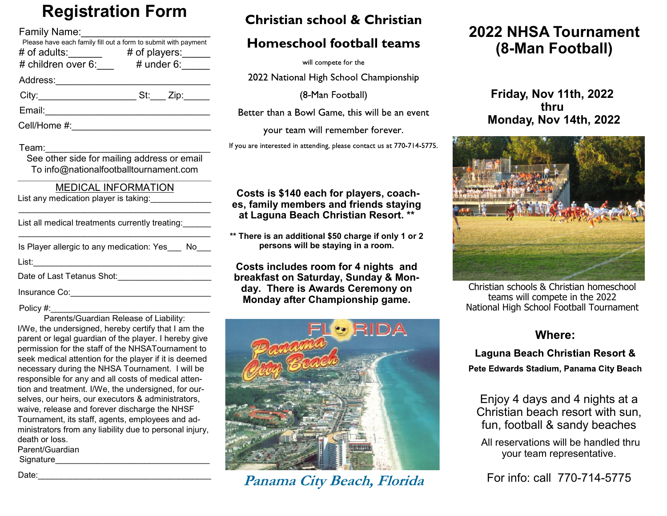# **Registration Form**

| Family Name:<br>arring ivarite.<br>Please have each family fill out a form to submit with payment<br># of adults:_______   # of players:_____<br># children over 6:____   # under 6:_____<br># of players: |
|------------------------------------------------------------------------------------------------------------------------------------------------------------------------------------------------------------|
| Address:_______________________________                                                                                                                                                                    |
| City:___________________________________St:_____ Zip:_______                                                                                                                                               |
|                                                                                                                                                                                                            |
| Cell/Home #:_______________________________                                                                                                                                                                |
| Team:   _______________<br>See other side for mailing address or email<br>To info@nationalfootballtournament.com<br><b>MEDICAL INFORMATION</b><br>List any medication player is taking:______________      |
| List all medical treatments currently treating:                                                                                                                                                            |
| Is Player allergic to any medication: Yes___ No___                                                                                                                                                         |
| Date of Last Tetanus Shot:______________________                                                                                                                                                           |
| Insurance Co:                                                                                                                                                                                              |

#### Policy #:

Parents/Guardian Release of Liability: I/We, the undersigned, hereby certify that I am the parent or legal guardian of the player. I hereby give permission for the staff of the NHSATournament to seek medical attention for the player if it is deemed necessary during the NHSA Tournament. I will be responsible for any and all costs of medical attention and treatment. I/We, the undersigned, for ourselves, our heirs, our executors & administrators, waive, release and forever discharge the NHSF Tournament, its staff, agents, employees and administrators from any liability due to personal injury, death or loss. Parent/Guardian Signature

Christian school & Christian

#### **Homeschool football teams**

will compete for the

2022 National High School Championship

(8-Man Football)

Better than a Bowl Game, this will be an event

your team will remember forever.

If you are interested in attending, please contact us at 770-714-5775.

#### **Costs is \$140 each for players, coaches, family members and friends staying at Laguna Beach Christian Resort. \*\***

**\*\* There is an additional \$50 charge if only 1 or 2 persons will be staying in a room.** 

**Costs includes room for 4 nights and breakfast on Saturday, Sunday & Monday. There is Awards Ceremony on Monday after Championship game.**



Date:\_\_\_\_\_\_\_\_\_\_\_\_\_\_\_\_\_\_\_\_\_\_\_\_\_\_\_\_\_\_\_\_\_\_\_\_\_ **Panama City Beach, Florida**

## **2022 NHSA Tournament (8-Man Football)**

**Friday, Nov 11th, 2022 thru Monday, Nov 14th, 2022**



Christian schools & Christian homeschool teams will compete in the 2022 National High School Football Tournament

#### **Where:**

Laguna Beach Christian Resort & Pete Edwards Stadium, Panama City Beach

Enjoy 4 days and 4 nights at a Christian beach resort with sun, fun, football & sandy beaches

All reservations will be handled thru your team representative.

For info: call 770-714-5775